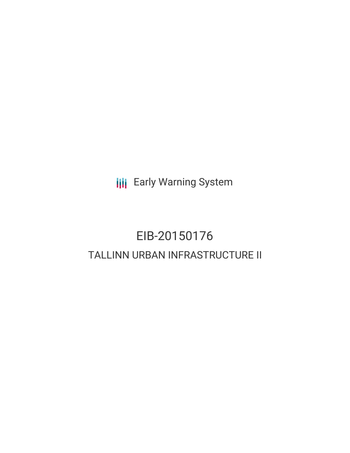**III** Early Warning System

# EIB-20150176 TALLINN URBAN INFRASTRUCTURE II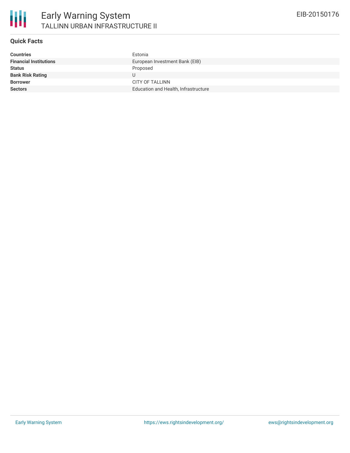

## **Quick Facts**

| <b>Countries</b>              | Estonia                              |
|-------------------------------|--------------------------------------|
| <b>Financial Institutions</b> | European Investment Bank (EIB)       |
| <b>Status</b>                 | Proposed                             |
| <b>Bank Risk Rating</b>       |                                      |
| <b>Borrower</b>               | CITY OF TALLINN                      |
| <b>Sectors</b>                | Education and Health, Infrastructure |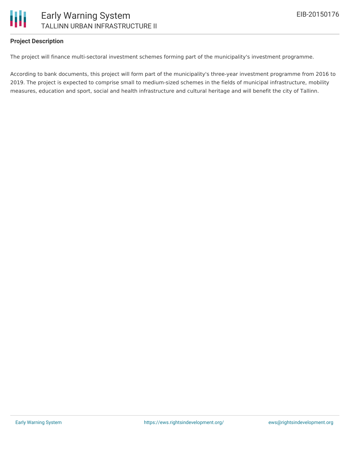

## **Project Description**

The project will finance multi-sectoral investment schemes forming part of the municipality's investment programme.

According to bank documents, this project will form part of the municipality's three-year investment programme from 2016 to 2019. The project is expected to comprise small to medium-sized schemes in the fields of municipal infrastructure, mobility measures, education and sport, social and health infrastructure and cultural heritage and will benefit the city of Tallinn.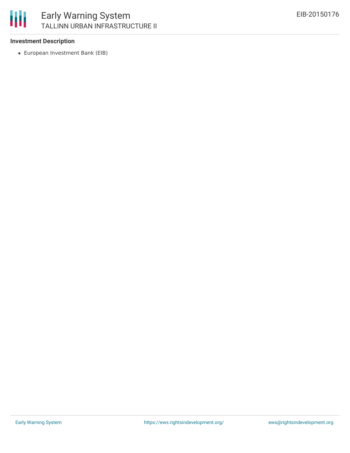

# **Investment Description**

European Investment Bank (EIB)